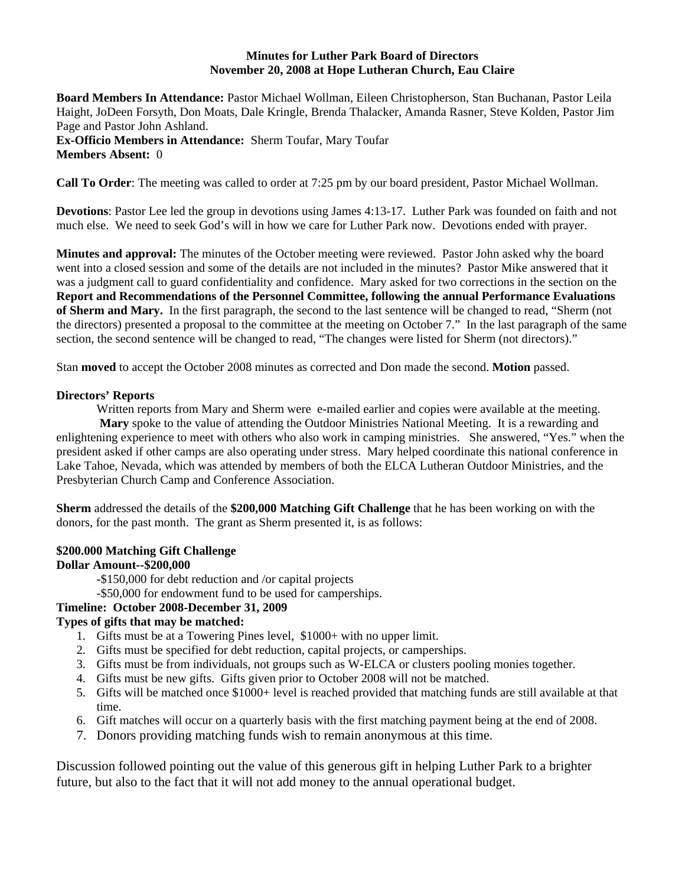### **Minutes for Luther Park Board of Directors November 20, 2008 at Hope Lutheran Church, Eau Claire**

**Board Members In Attendance:** Pastor Michael Wollman, Eileen Christopherson, Stan Buchanan, Pastor Leila Haight, JoDeen Forsyth, Don Moats, Dale Kringle, Brenda Thalacker, Amanda Rasner, Steve Kolden, Pastor Jim Page and Pastor John Ashland. **Ex-Officio Members in Attendance:** Sherm Toufar, Mary Toufar **Members Absent:** 0

**Call To Order**: The meeting was called to order at 7:25 pm by our board president, Pastor Michael Wollman.

**Devotions**: Pastor Lee led the group in devotions using James 4:13-17. Luther Park was founded on faith and not much else. We need to seek God's will in how we care for Luther Park now. Devotions ended with prayer.

**Minutes and approval:** The minutes of the October meeting were reviewed. Pastor John asked why the board went into a closed session and some of the details are not included in the minutes? Pastor Mike answered that it was a judgment call to guard confidentiality and confidence. Mary asked for two corrections in the section on the **Report and Recommendations of the Personnel Committee, following the annual Performance Evaluations of Sherm and Mary.** In the first paragraph, the second to the last sentence will be changed to read, "Sherm (not the directors) presented a proposal to the committee at the meeting on October 7." In the last paragraph of the same section, the second sentence will be changed to read, "The changes were listed for Sherm (not directors)."

Stan **moved** to accept the October 2008 minutes as corrected and Don made the second. **Motion** passed.

#### **Directors' Reports**

Written reports from Mary and Sherm were e-mailed earlier and copies were available at the meeting. **Mary** spoke to the value of attending the Outdoor Ministries National Meeting. It is a rewarding and enlightening experience to meet with others who also work in camping ministries. She answered, "Yes." when the president asked if other camps are also operating under stress. Mary helped coordinate this national conference in Lake Tahoe, Nevada, which was attended by members of both the ELCA Lutheran Outdoor Ministries, and the Presbyterian Church Camp and Conference Association.

**Sherm** addressed the details of the **\$200,000 Matching Gift Challenge** that he has been working on with the donors, for the past month. The grant as Sherm presented it, is as follows:

# **\$200.000 Matching Gift Challenge**

## **Dollar Amount--\$200,000**

-\$150,000 for debt reduction and /or capital projects

-\$50,000 for endowment fund to be used for camperships.

## **Timeline: October 2008-December 31, 2009**

## **Types of gifts that may be matched:**

- 1. Gifts must be at a Towering Pines level, \$1000+ with no upper limit.
- 2. Gifts must be specified for debt reduction, capital projects, or camperships.
- 3. Gifts must be from individuals, not groups such as W-ELCA or clusters pooling monies together.
- 4. Gifts must be new gifts. Gifts given prior to October 2008 will not be matched.
- 5. Gifts will be matched once \$1000+ level is reached provided that matching funds are still available at that time.
- 6. Gift matches will occur on a quarterly basis with the first matching payment being at the end of 2008.
- 7. Donors providing matching funds wish to remain anonymous at this time.

Discussion followed pointing out the value of this generous gift in helping Luther Park to a brighter future, but also to the fact that it will not add money to the annual operational budget.